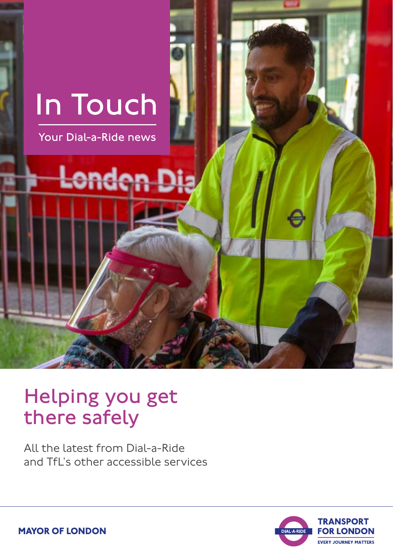

### Helping you get there safely

All the latest from Dial-a-Ride and TfL's other accessible services



**MAYOR OF LONDON**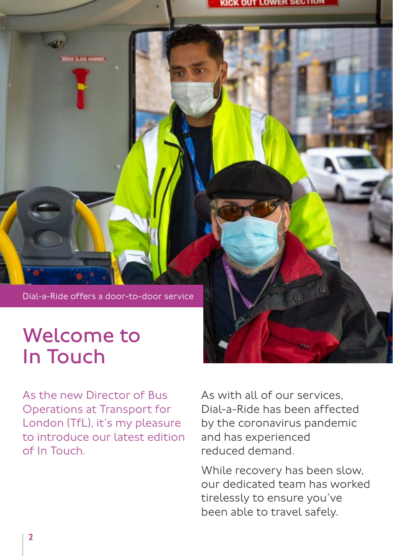Dial-a-Ride offers a door-to-door service

## Welcome to In Touch

**KCLASSINAMMER** 

As the new Director of Bus Operations at Transport for London (TfL), it's my pleasure to introduce our latest edition of In Touch.

As with all of our services, Dial-a-Ride has been affected by the coronavirus pandemic and has experienced reduced demand.

While recovery has been slow, our dedicated team has worked tirelessly to ensure you've been able to travel safely.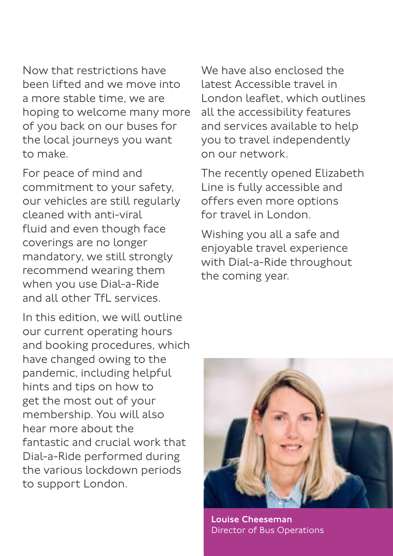Now that restrictions have been lifted and we move into a more stable time, we are hoping to welcome many more of you back on our buses for the local journeys you want to make.

For peace of mind and commitment to your safety, our vehicles are still regularly cleaned with anti-viral fluid and even though face coverings are no longer mandatory, we still strongly recommend wearing them when you use Dial-a-Ride and all other TfL services.

In this edition, we will outline our current operating hours and booking procedures, which have changed owing to the pandemic, including helpful hints and tips on how to get the most out of your membership. You will also hear more about the fantastic and crucial work that Dial-a-Ride performed during the various lockdown periods to support London.

We have also enclosed the latest Accessible travel in London leaflet, which outlines all the accessibility features and services available to help you to travel independently on our network.

The recently opened Elizabeth Line is fully accessible and offers even more options for travel in London.

Wishing you all a safe and enjoyable travel experience with Dial-a-Ride throughout the coming year.



Louise Cheeseman Director of Bus Operations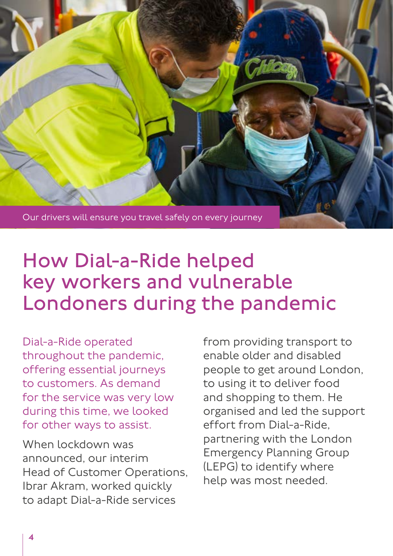

# How Dial-a-Ride helped key workers and vulnerable Londoners during the pandemic

Dial-a-Ride operated throughout the pandemic, offering essential journeys to customers. As demand for the service was very low during this time, we looked for other ways to assist.

When lockdown was announced, our interim Head of Customer Operations, Ibrar Akram, worked quickly to adapt Dial-a-Ride services

from providing transport to enable older and disabled people to get around London, to using it to deliver food and shopping to them. He organised and led the support effort from Dial-a-Ride, partnering with the London Emergency Planning Group (LEPG) to identify where help was most needed.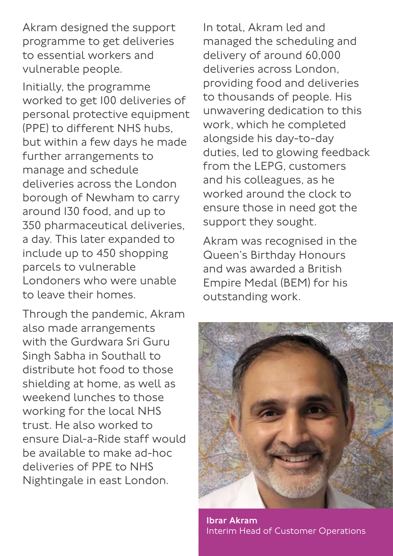Akram designed the support programme to get deliveries to essential workers and vulnerable people.

Initially, the programme worked to get 100 deliveries of personal protective equipment (PPE) to different NHS hubs, but within a few days he made further arrangements to manage and schedule deliveries across the London borough of Newham to carry around 130 food, and up to 350 pharmaceutical deliveries, a day. This later expanded to include up to 450 shopping parcels to vulnerable Londoners who were unable to leave their homes.

Through the pandemic, Akram also made arrangements with the Gurdwara Sri Guru Singh Sabha in Southall to distribute hot food to those shielding at home, as well as weekend lunches to those working for the local NHS trust. He also worked to ensure Dial-a-Ride staff would be available to make ad-hoc deliveries of PPE to NHS Nightingale in east London.

In total, Akram led and managed the scheduling and delivery of around 60,000 deliveries across London, providing food and deliveries to thousands of people. His unwavering dedication to this work, which he completed alongside his day-to-day duties, led to glowing feedback from the LEPG, customers and his colleagues, as he worked around the clock to ensure those in need got the support they sought.

Akram was recognised in the Queen's Birthday Honours and was awarded a British Empire Medal (BEM) for his outstanding work.



Ibrar Akram Interim Head of Customer Operations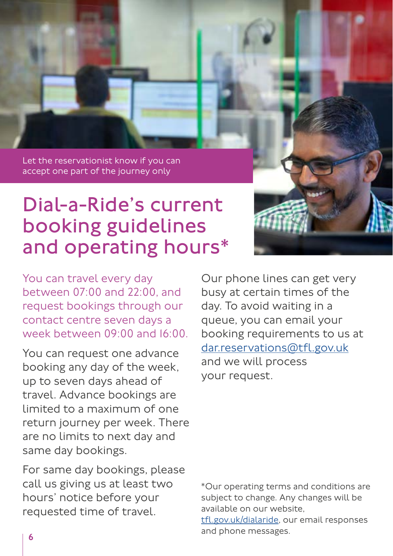Let the reservationist know if you can accept one part of the journey only

### Dial-a-Ride's current booking guidelines and operating hours\*

You can travel every day between 07:00 and 22:00, and request bookings through our contact centre seven days a week between 09:00 and 16:00.

You can request one advance booking any day of the week, up to seven days ahead of travel. Advance bookings are limited to a maximum of one return journey per week. There are no limits to next day and same day bookings.

For same day bookings, please call us giving us at least two hours' notice before your requested time of travel.

Our phone lines can get very busy at certain times of the day. To avoid waiting in a queue, you can email your booking requirements to us at [dar.reservations@tfl.gov.uk](mailto:dar.reservations%40tfl.gov.uk?subject=Dial-a-Ride%20reservations) and we will process your request.

\*Our operating terms and conditions are subject to change. Any changes will be available on our website,

[tfl.gov.uk/dialaride](http://tfl.gov.uk/dialaride), our email responses and phone messages.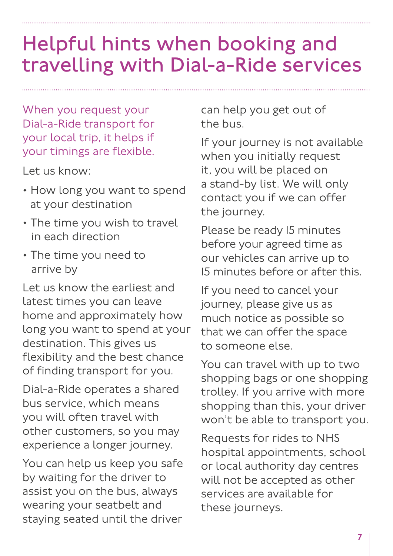# Helpful hints when booking and travelling with Dial-a-Ride services

When you request your Dial-a-Ride transport for your local trip, it helps if your timings are flexible.

Let us know:

• How long you want to spend at your destination

5

- The time you wish to travel in each direction
- The time you need to arrive by

Let us know the earliest and latest times you can leave home and approximately how long you want to spend at your destination. This gives us flexibility and the best chance of finding transport for you.

Dial-a-Ride operates a shared bus service, which means you will often travel with other customers, so you may experience a longer journey.

You can help us keep you safe by waiting for the driver to assist you on the bus, always wearing your seatbelt and staying seated until the driver can help you get out of the bus.

If your journey is not available when you initially request it, you will be placed on a stand-by list. We will only contact you if we can offer the journey.

Please be ready 15 minutes before your agreed time as our vehicles can arrive up to 15 minutes before or after this.

If you need to cancel your journey, please give us as much notice as possible so that we can offer the space to someone else.

You can travel with up to two shopping bags or one shopping trolley. If you arrive with more shopping than this, your driver won't be able to transport you.

Requests for rides to NHS hospital appointments, school or local authority day centres will not be accepted as other services are available for these journeys.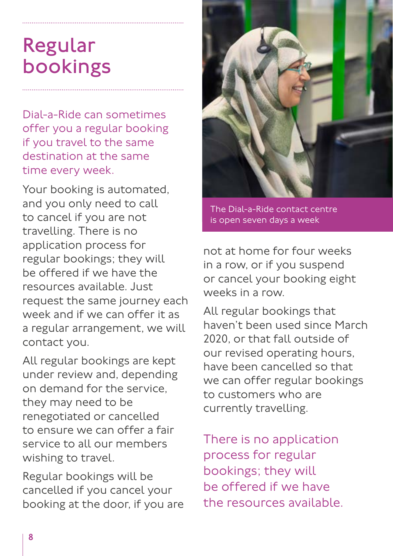# Regular bookings

Dial-a-Ride can sometimes offer you a regular booking if you travel to the same destination at the same time every week.

Your booking is automated, and you only need to call to cancel if you are not travelling. There is no application process for regular bookings; they will be offered if we have the resources available. Just request the same journey each week and if we can offer it as a regular arrangement, we will contact you.

All regular bookings are kept under review and, depending on demand for the service, they may need to be renegotiated or cancelled to ensure we can offer a fair service to all our members wishing to travel.

Regular bookings will be cancelled if you cancel your booking at the door, if you are



The Dial-a-Ride contact centre is open seven days a week

not at home for four weeks in a row, or if you suspend or cancel your booking eight weeks in a row.

All regular bookings that haven't been used since March 2020, or that fall outside of our revised operating hours, have been cancelled so that we can offer regular bookings to customers who are currently travelling.

There is no application process for regular bookings; they will be offered if we have the resources available.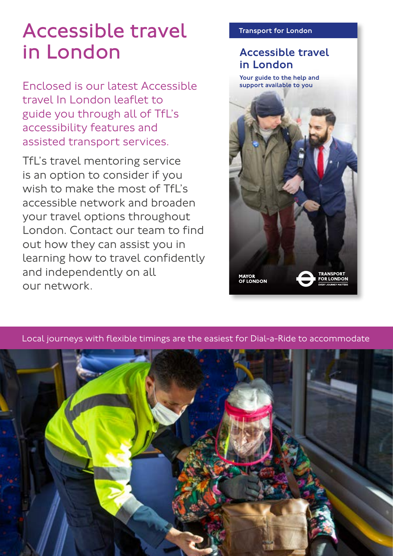# Accessible travel in London

Enclosed is our latest Accessible travel In London leaflet to guide you through all of TfL's accessibility features and assisted transport services.

TfL's travel mentoring service is an option to consider if you wish to make the most of TfL's accessible network and broaden your travel options throughout London. Contact our team to find out how they can assist you in learning how to travel confidently and independently on all our network.

#### Transport for London

### Accessible travel in London

Your guide to the help and support available to you





Local journeys with flexible timings are the easiest for Dial-a-Ride to accommodate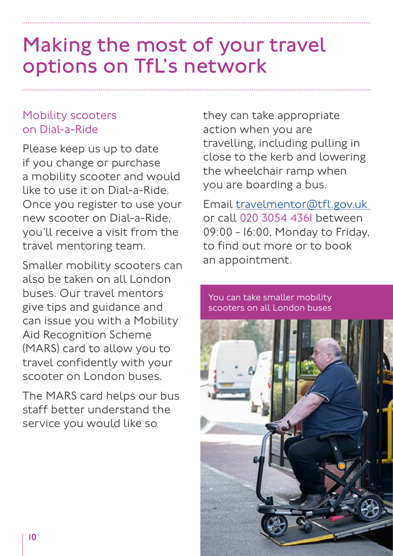# Making the most of your travel options on TfL's network

### Mobility scooters on Dial-a-Ride

Please keep us up to date if you change or purchase a mobility scooter and would like to use it on Dial-a-Ride. Once you register to use your new scooter on Dial-a-Ride, you'll receive a visit from the travel mentoring team.

Smaller mobility scooters can also be taken on all London buses. Our travel mentors give tips and guidance and can issue you with a Mobility Aid Recognition Scheme (MARS) card to allow you to travel confidently with your scooter on London buses.

The MARS card helps our bus staff better understand the service you would like so

they can take appropriate action when you are travelling, including pulling in close to the kerb and lowering the wheelchair ramp when you are boarding a bus.

Email [travelmentor@tfl.gov.uk](mailto:travelmentor%40tfl.gov.uk%20?subject=) or call 020 3054 4361 between 09:00 - 16:00, Monday to Friday, to find out more or to book an appointment.

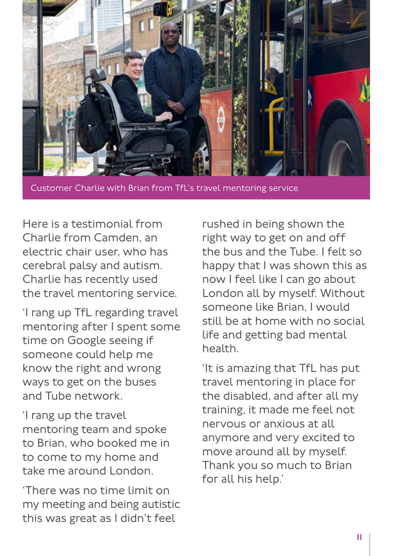

Customer Charlie with Brian from TfL's travel mentoring service

Here is a testimonial from Charlie from Camden, an electric chair user, who has cerebral palsy and autism. Charlie has recently used the travel mentoring service.

'I rang up TfL regarding travel mentoring after I spent some time on Google seeing if someone could help me know the right and wrong ways to get on the buses and Tube network.

'I rang up the travel mentoring team and spoke to Brian, who booked me in to come to my home and take me around London.

'There was no time limit on my meeting and being autistic this was great as I didn't feel

rushed in being shown the right way to get on and off the bus and the Tube. I felt so happy that I was shown this as now I feel like I can go about London all by myself. Without someone like Brian, I would still be at home with no social life and getting bad mental health.

'It is amazing that TfL has put travel mentoring in place for the disabled, and after all my training, it made me feel not nervous or anxious at all anymore and very excited to move around all by myself. Thank you so much to Brian for all his help.'